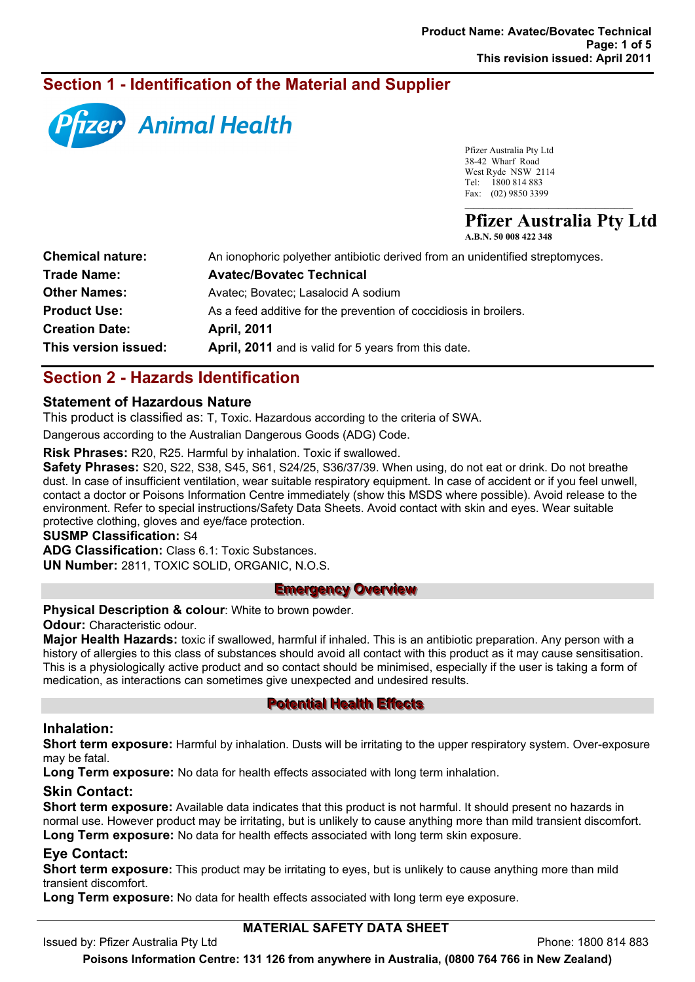# **Section 1 - Identification of the Material and Supplier**



Pfizer Australia Pty Ltd 38-42 Wharf Road West Ryde NSW 2114 Tel: 1800 814 883 Fax: (02) 9850 3399

**Pfizer Australia Pty Ltd**

 $\mathcal{L}=\mathcal{L}=\mathcal{L}=\mathcal{L}=\mathcal{L}=\mathcal{L}=\mathcal{L}=\mathcal{L}=\mathcal{L}=\mathcal{L}=\mathcal{L}=\mathcal{L}=\mathcal{L}=\mathcal{L}=\mathcal{L}=\mathcal{L}=\mathcal{L}=\mathcal{L}=\mathcal{L}=\mathcal{L}=\mathcal{L}=\mathcal{L}=\mathcal{L}=\mathcal{L}=\mathcal{L}=\mathcal{L}=\mathcal{L}=\mathcal{L}=\mathcal{L}=\mathcal{L}=\mathcal{L}=\mathcal{L}=\mathcal{L}=\mathcal{L}=\mathcal{L}=\mathcal{L}=\mathcal{$ 

| A.B.N. 50 008 422 348 |  |  |  |
|-----------------------|--|--|--|
|                       |  |  |  |

| An ionophoric polyether antibiotic derived from an unidentified streptomyces. |
|-------------------------------------------------------------------------------|
| <b>Avatec/Bovatec Technical</b>                                               |
| Avatec; Bovatec; Lasalocid A sodium                                           |
| As a feed additive for the prevention of coccidiosis in broilers.             |
| <b>April, 2011</b>                                                            |
| April, 2011 and is valid for 5 years from this date.                          |
|                                                                               |

# **Section 2 - Hazards Identification**

## **Statement of Hazardous Nature**

This product is classified as: T, Toxic. Hazardous according to the criteria of SWA.

Dangerous according to the Australian Dangerous Goods (ADG) Code.

**Risk Phrases:** R20, R25. Harmful by inhalation. Toxic if swallowed.

**Safety Phrases:** S20, S22, S38, S45, S61, S24/25, S36/37/39. When using, do not eat or drink. Do not breathe dust. In case of insufficient ventilation, wear suitable respiratory equipment. In case of accident or if you feel unwell, contact a doctor or Poisons Information Centre immediately (show this MSDS where possible). Avoid release to the environment. Refer to special instructions/Safety Data Sheets. Avoid contact with skin and eyes. Wear suitable protective clothing, gloves and eye/face protection.

#### **SUSMP Classification:** S4

**ADG Classification:** Class 6.1: Toxic Substances. **UN Number:** 2811, TOXIC SOLID, ORGANIC, N.O.S.

#### **Emergency Overview**

**Physical Description & colour**: White to brown powder.

**Odour:** Characteristic odour.

**Major Health Hazards:** toxic if swallowed, harmful if inhaled. This is an antibiotic preparation. Any person with a history of allergies to this class of substances should avoid all contact with this product as it may cause sensitisation. This is a physiologically active product and so contact should be minimised, especially if the user is taking a form of medication, as interactions can sometimes give unexpected and undesired results.

## **Potential Health Effects**

## **Inhalation:**

**Short term exposure:** Harmful by inhalation. Dusts will be irritating to the upper respiratory system. Over-exposure may be fatal.

**Long Term exposure:** No data for health effects associated with long term inhalation.

## **Skin Contact:**

**Short term exposure:** Available data indicates that this product is not harmful. It should present no hazards in normal use. However product may be irritating, but is unlikely to cause anything more than mild transient discomfort.

## **Long Term exposure:** No data for health effects associated with long term skin exposure.

## **Eye Contact:**

**Short term exposure:** This product may be irritating to eyes, but is unlikely to cause anything more than mild transient discomfort.

**Long Term exposure:** No data for health effects associated with long term eye exposure.

## **MATERIAL SAFETY DATA SHEET**

Issued by: Pfizer Australia Pty Ltd Phone: 1800 814 883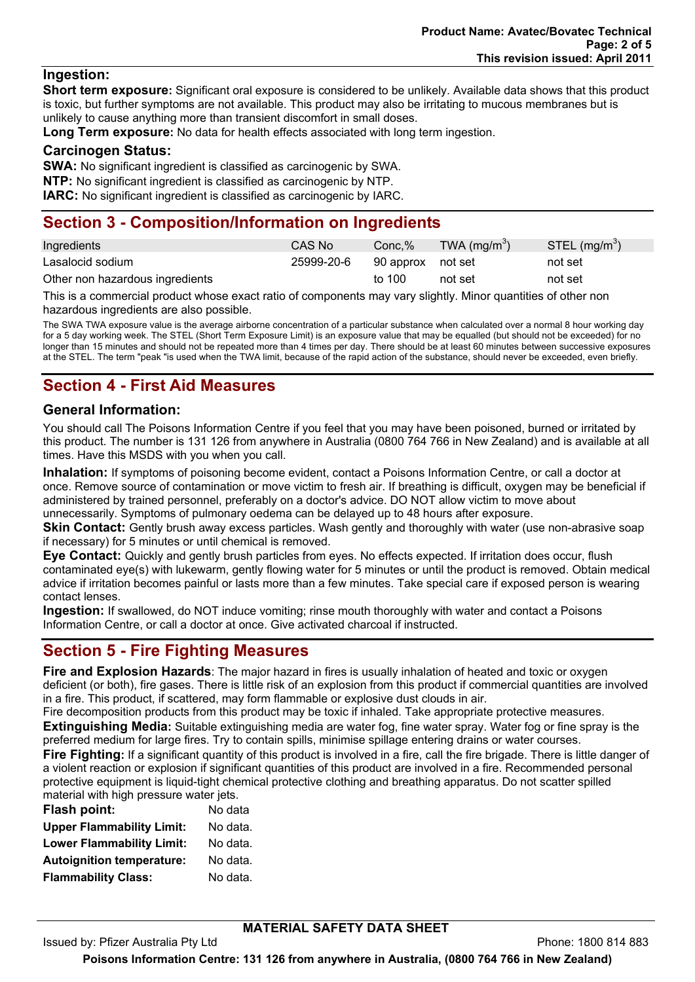## **Ingestion:**

**Short term exposure:** Significant oral exposure is considered to be unlikely. Available data shows that this product is toxic, but further symptoms are not available. This product may also be irritating to mucous membranes but is unlikely to cause anything more than transient discomfort in small doses.

**Long Term exposure:** No data for health effects associated with long term ingestion.

#### **Carcinogen Status:**

**SWA:** No significant ingredient is classified as carcinogenic by SWA.

**NTP:** No significant ingredient is classified as carcinogenic by NTP.

**IARC:** No significant ingredient is classified as carcinogenic by IARC.

# **Section 3 - Composition/Information on Ingredients**

| Ingredients                     | CAS No     | Conc.%            | TWA $(mg/m^3)$ | STEL (mg/m <sup>3</sup> ) |
|---------------------------------|------------|-------------------|----------------|---------------------------|
| Lasalocid sodium                | 25999-20-6 | 90 approx not set |                | not set                   |
| Other non hazardous ingredients |            | to 100            | not set        | not set                   |

This is a commercial product whose exact ratio of components may vary slightly. Minor quantities of other non hazardous ingredients are also possible.

The SWA TWA exposure value is the average airborne concentration of a particular substance when calculated over a normal 8 hour working day for a 5 day working week. The STEL (Short Term Exposure Limit) is an exposure value that may be equalled (but should not be exceeded) for no longer than 15 minutes and should not be repeated more than 4 times per day. There should be at least 60 minutes between successive exposures at the STEL. The term "peak "is used when the TWA limit, because of the rapid action of the substance, should never be exceeded, even briefly.

# **Section 4 - First Aid Measures**

## **General Information:**

You should call The Poisons Information Centre if you feel that you may have been poisoned, burned or irritated by this product. The number is 131 126 from anywhere in Australia (0800 764 766 in New Zealand) and is available at all times. Have this MSDS with you when you call.

**Inhalation:** If symptoms of poisoning become evident, contact a Poisons Information Centre, or call a doctor at once. Remove source of contamination or move victim to fresh air. If breathing is difficult, oxygen may be beneficial if administered by trained personnel, preferably on a doctor's advice. DO NOT allow victim to move about unnecessarily. Symptoms of pulmonary oedema can be delayed up to 48 hours after exposure.

**Skin Contact:** Gently brush away excess particles. Wash gently and thoroughly with water (use non-abrasive soap if necessary) for 5 minutes or until chemical is removed.

**Eye Contact:** Quickly and gently brush particles from eyes. No effects expected. If irritation does occur, flush contaminated eye(s) with lukewarm, gently flowing water for 5 minutes or until the product is removed. Obtain medical advice if irritation becomes painful or lasts more than a few minutes. Take special care if exposed person is wearing contact lenses.

**Ingestion:** If swallowed, do NOT induce vomiting; rinse mouth thoroughly with water and contact a Poisons Information Centre, or call a doctor at once. Give activated charcoal if instructed.

## **Section 5 - Fire Fighting Measures**

**Fire and Explosion Hazards**: The major hazard in fires is usually inhalation of heated and toxic or oxygen deficient (or both), fire gases. There is little risk of an explosion from this product if commercial quantities are involved in a fire. This product, if scattered, may form flammable or explosive dust clouds in air.

Fire decomposition products from this product may be toxic if inhaled. Take appropriate protective measures. **Extinguishing Media:** Suitable extinguishing media are water fog, fine water spray. Water fog or fine spray is the

preferred medium for large fires. Try to contain spills, minimise spillage entering drains or water courses. **Fire Fighting:** If a significant quantity of this product is involved in a fire, call the fire brigade. There is little danger of a violent reaction or explosion if significant quantities of this product are involved in a fire. Recommended personal protective equipment is liquid-tight chemical protective clothing and breathing apparatus. Do not scatter spilled material with high pressure water jets.

| <b>Flash point:</b>              | No data  |
|----------------------------------|----------|
| <b>Upper Flammability Limit:</b> | No data. |
| <b>Lower Flammability Limit:</b> | No data. |
| <b>Autoignition temperature:</b> | No data. |
| <b>Flammability Class:</b>       | No data. |

## **MATERIAL SAFETY DATA SHEET**

Issued by: Pfizer Australia Pty Ltd Phone: 1800 814 883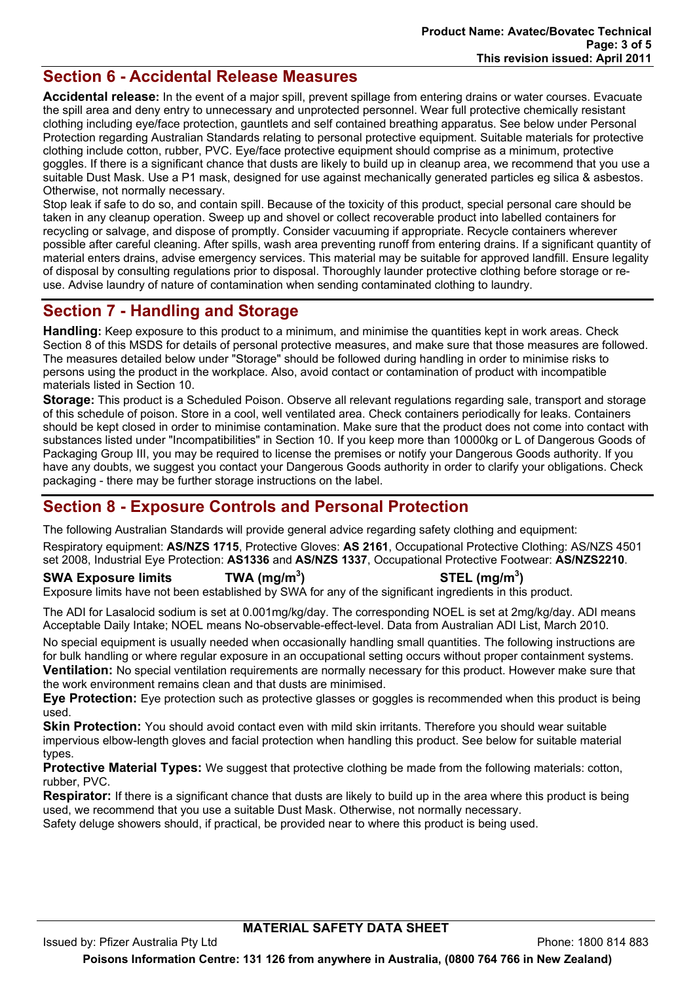## **Section 6 - Accidental Release Measures**

**Accidental release:** In the event of a major spill, prevent spillage from entering drains or water courses. Evacuate the spill area and deny entry to unnecessary and unprotected personnel. Wear full protective chemically resistant clothing including eye/face protection, gauntlets and self contained breathing apparatus. See below under Personal Protection regarding Australian Standards relating to personal protective equipment. Suitable materials for protective clothing include cotton, rubber, PVC. Eye/face protective equipment should comprise as a minimum, protective goggles. If there is a significant chance that dusts are likely to build up in cleanup area, we recommend that you use a suitable Dust Mask. Use a P1 mask, designed for use against mechanically generated particles eg silica & asbestos. Otherwise, not normally necessary.

Stop leak if safe to do so, and contain spill. Because of the toxicity of this product, special personal care should be taken in any cleanup operation. Sweep up and shovel or collect recoverable product into labelled containers for recycling or salvage, and dispose of promptly. Consider vacuuming if appropriate. Recycle containers wherever possible after careful cleaning. After spills, wash area preventing runoff from entering drains. If a significant quantity of material enters drains, advise emergency services. This material may be suitable for approved landfill. Ensure legality of disposal by consulting regulations prior to disposal. Thoroughly launder protective clothing before storage or reuse. Advise laundry of nature of contamination when sending contaminated clothing to laundry.

# **Section 7 - Handling and Storage**

**Handling:** Keep exposure to this product to a minimum, and minimise the quantities kept in work areas. Check Section 8 of this MSDS for details of personal protective measures, and make sure that those measures are followed. The measures detailed below under "Storage" should be followed during handling in order to minimise risks to persons using the product in the workplace. Also, avoid contact or contamination of product with incompatible materials listed in Section 10.

**Storage:** This product is a Scheduled Poison. Observe all relevant regulations regarding sale, transport and storage of this schedule of poison. Store in a cool, well ventilated area. Check containers periodically for leaks. Containers should be kept closed in order to minimise contamination. Make sure that the product does not come into contact with substances listed under "Incompatibilities" in Section 10. If you keep more than 10000kg or L of Dangerous Goods of Packaging Group III, you may be required to license the premises or notify your Dangerous Goods authority. If you have any doubts, we suggest you contact your Dangerous Goods authority in order to clarify your obligations. Check packaging - there may be further storage instructions on the label.

## **Section 8 - Exposure Controls and Personal Protection**

The following Australian Standards will provide general advice regarding safety clothing and equipment:

Respiratory equipment: **AS/NZS 1715**, Protective Gloves: **AS 2161**, Occupational Protective Clothing: AS/NZS 4501 set 2008, Industrial Eye Protection: **AS1336** and **AS/NZS 1337**, Occupational Protective Footwear: **AS/NZS2210**.

## **SWA Exposure limits TWA (mg/m<sup>3</sup>**

**) STEL (mg/m<sup>3</sup> )** 

Exposure limits have not been established by SWA for any of the significant ingredients in this product.

The ADI for Lasalocid sodium is set at 0.001mg/kg/day. The corresponding NOEL is set at 2mg/kg/day. ADI means Acceptable Daily Intake; NOEL means No-observable-effect-level. Data from Australian ADI List, March 2010.

No special equipment is usually needed when occasionally handling small quantities. The following instructions are for bulk handling or where regular exposure in an occupational setting occurs without proper containment systems. **Ventilation:** No special ventilation requirements are normally necessary for this product. However make sure that the work environment remains clean and that dusts are minimised.

**Eye Protection:** Eye protection such as protective glasses or goggles is recommended when this product is being used.

**Skin Protection:** You should avoid contact even with mild skin irritants. Therefore you should wear suitable impervious elbow-length gloves and facial protection when handling this product. See below for suitable material types.

**Protective Material Types:** We suggest that protective clothing be made from the following materials: cotton, rubber, PVC.

**Respirator:** If there is a significant chance that dusts are likely to build up in the area where this product is being used, we recommend that you use a suitable Dust Mask. Otherwise, not normally necessary. Safety deluge showers should, if practical, be provided near to where this product is being used.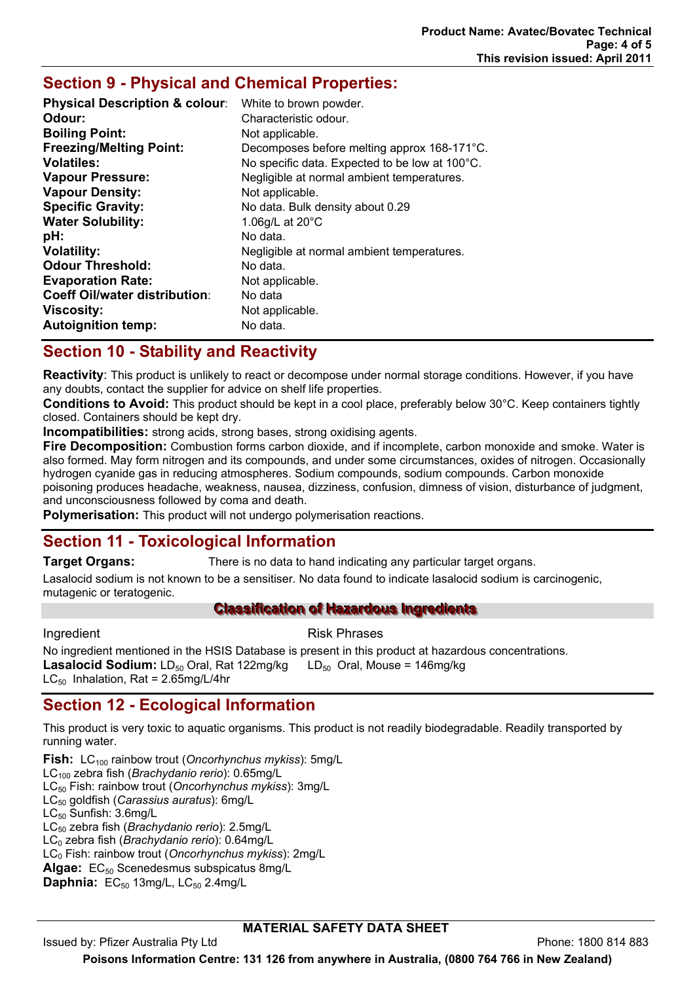## **Section 9 - Physical and Chemical Properties:**

| White to brown powder.                         |
|------------------------------------------------|
| Characteristic odour.                          |
| Not applicable.                                |
| Decomposes before melting approx 168-171°C.    |
| No specific data. Expected to be low at 100°C. |
| Negligible at normal ambient temperatures.     |
| Not applicable.                                |
| No data. Bulk density about 0.29               |
| 1.06g/L at $20^{\circ}$ C                      |
| No data.                                       |
| Negligible at normal ambient temperatures.     |
| No data.                                       |
| Not applicable.                                |
| No data                                        |
| Not applicable.                                |
| No data.                                       |
|                                                |

# **Section 10 - Stability and Reactivity**

**Reactivity**: This product is unlikely to react or decompose under normal storage conditions. However, if you have any doubts, contact the supplier for advice on shelf life properties.

**Conditions to Avoid:** This product should be kept in a cool place, preferably below 30°C. Keep containers tightly closed. Containers should be kept dry.

**Incompatibilities:** strong acids, strong bases, strong oxidising agents.

**Fire Decomposition:** Combustion forms carbon dioxide, and if incomplete, carbon monoxide and smoke. Water is also formed. May form nitrogen and its compounds, and under some circumstances, oxides of nitrogen. Occasionally hydrogen cyanide gas in reducing atmospheres. Sodium compounds, sodium compounds. Carbon monoxide poisoning produces headache, weakness, nausea, dizziness, confusion, dimness of vision, disturbance of judgment, and unconsciousness followed by coma and death.

**Polymerisation:** This product will not undergo polymerisation reactions.

# **Section 11 - Toxicological Information**

**Target Organs:** There is no data to hand indicating any particular target organs.

Lasalocid sodium is not known to be a sensitiser. No data found to indicate lasalocid sodium is carcinogenic, mutagenic or teratogenic.

## **Classification of Hazardous Ingredients**

## Ingredient **Risk Phrases**

No ingredient mentioned in the HSIS Database is present in this product at hazardous concentrations. **Lasalocid Sodium:** LD<sub>50</sub> Oral, Rat 122mg/kg LD<sub>50</sub> Oral, Mouse = 146mg/kg LC $_{50}$  Inhalation, Rat = 2.65mg/L/4hr

# **Section 12 - Ecological Information**

This product is very toxic to aquatic organisms. This product is not readily biodegradable. Readily transported by running water.

**Fish:** LC100 rainbow trout (*Oncorhynchus mykiss*): 5mg/L

LC100 zebra fish (*Brachydanio rerio*): 0.65mg/L

LC50 Fish: rainbow trout (*Oncorhynchus mykiss*): 3mg/L

LC50 goldfish (*Carassius auratus*): 6mg/L

LC<sub>50</sub> Sunfish: 3.6mg/L

LC50 zebra fish (*Brachydanio rerio*): 2.5mg/L

LC0 zebra fish (*Brachydanio rerio*): 0.64mg/L

LC0 Fish: rainbow trout (*Oncorhynchus mykiss*): 2mg/L

Algae: EC<sub>50</sub> Scenedesmus subspicatus 8mg/L

**Daphnia:** EC<sub>50</sub> 13mg/L, LC<sub>50</sub> 2.4mg/L

## **MATERIAL SAFETY DATA SHEET**

Issued by: Pfizer Australia Pty Ltd Phone: 1800 814 883